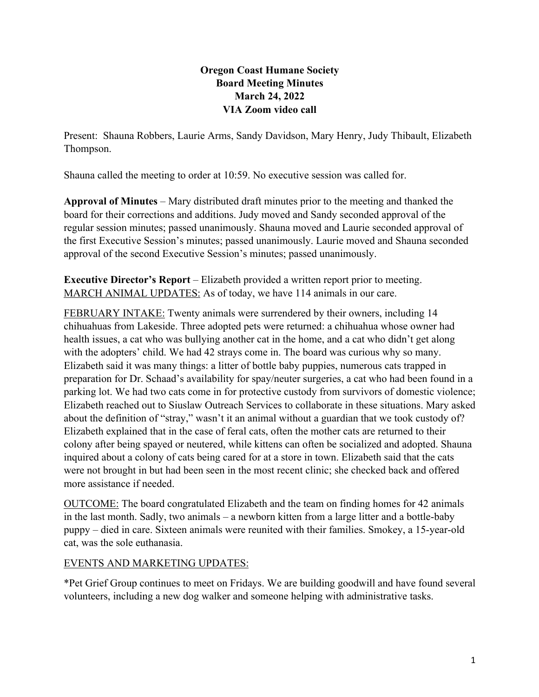## **Oregon Coast Humane Society Board Meeting Minutes March 24, 2022 VIA Zoom video call**

Present: Shauna Robbers, Laurie Arms, Sandy Davidson, Mary Henry, Judy Thibault, Elizabeth Thompson.

Shauna called the meeting to order at 10:59. No executive session was called for.

**Approval of Minutes** – Mary distributed draft minutes prior to the meeting and thanked the board for their corrections and additions. Judy moved and Sandy seconded approval of the regular session minutes; passed unanimously. Shauna moved and Laurie seconded approval of the first Executive Session's minutes; passed unanimously. Laurie moved and Shauna seconded approval of the second Executive Session's minutes; passed unanimously.

**Executive Director's Report** – Elizabeth provided a written report prior to meeting. MARCH ANIMAL UPDATES: As of today, we have 114 animals in our care.

FEBRUARY INTAKE: Twenty animals were surrendered by their owners, including 14 chihuahuas from Lakeside. Three adopted pets were returned: a chihuahua whose owner had health issues, a cat who was bullying another cat in the home, and a cat who didn't get along with the adopters' child. We had 42 strays come in. The board was curious why so many. Elizabeth said it was many things: a litter of bottle baby puppies, numerous cats trapped in preparation for Dr. Schaad's availability for spay/neuter surgeries, a cat who had been found in a parking lot. We had two cats come in for protective custody from survivors of domestic violence; Elizabeth reached out to Siuslaw Outreach Services to collaborate in these situations. Mary asked about the definition of "stray," wasn't it an animal without a guardian that we took custody of? Elizabeth explained that in the case of feral cats, often the mother cats are returned to their colony after being spayed or neutered, while kittens can often be socialized and adopted. Shauna inquired about a colony of cats being cared for at a store in town. Elizabeth said that the cats were not brought in but had been seen in the most recent clinic; she checked back and offered more assistance if needed.

OUTCOME: The board congratulated Elizabeth and the team on finding homes for 42 animals in the last month. Sadly, two animals – a newborn kitten from a large litter and a bottle-baby puppy – died in care. Sixteen animals were reunited with their families. Smokey, a 15-year-old cat, was the sole euthanasia.

## EVENTS AND MARKETING UPDATES:

\*Pet Grief Group continues to meet on Fridays. We are building goodwill and have found several volunteers, including a new dog walker and someone helping with administrative tasks.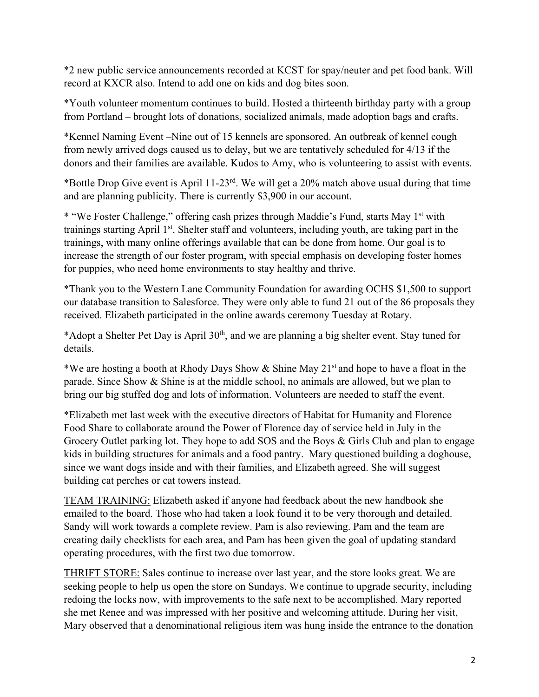\*2 new public service announcements recorded at KCST for spay/neuter and pet food bank. Will record at KXCR also. Intend to add one on kids and dog bites soon.

\*Youth volunteer momentum continues to build. Hosted a thirteenth birthday party with a group from Portland – brought lots of donations, socialized animals, made adoption bags and crafts.

\*Kennel Naming Event –Nine out of 15 kennels are sponsored. An outbreak of kennel cough from newly arrived dogs caused us to delay, but we are tentatively scheduled for 4/13 if the donors and their families are available. Kudos to Amy, who is volunteering to assist with events.

\*Bottle Drop Give event is April 11-23<sup>rd</sup>. We will get a 20% match above usual during that time and are planning publicity. There is currently \$3,900 in our account.

\* "We Foster Challenge," offering cash prizes through Maddie's Fund, starts May 1st with trainings starting April 1st. Shelter staff and volunteers, including youth, are taking part in the trainings, with many online offerings available that can be done from home. Our goal is to increase the strength of our foster program, with special emphasis on developing foster homes for puppies, who need home environments to stay healthy and thrive.

\*Thank you to the Western Lane Community Foundation for awarding OCHS \$1,500 to support our database transition to Salesforce. They were only able to fund 21 out of the 86 proposals they received. Elizabeth participated in the online awards ceremony Tuesday at Rotary.

\*Adopt a Shelter Pet Day is April 30<sup>th</sup>, and we are planning a big shelter event. Stay tuned for details.

\*We are hosting a booth at Rhody Days Show  $\&$  Shine May 21<sup>st</sup> and hope to have a float in the parade. Since Show & Shine is at the middle school, no animals are allowed, but we plan to bring our big stuffed dog and lots of information. Volunteers are needed to staff the event.

\*Elizabeth met last week with the executive directors of Habitat for Humanity and Florence Food Share to collaborate around the Power of Florence day of service held in July in the Grocery Outlet parking lot. They hope to add SOS and the Boys & Girls Club and plan to engage kids in building structures for animals and a food pantry. Mary questioned building a doghouse, since we want dogs inside and with their families, and Elizabeth agreed. She will suggest building cat perches or cat towers instead.

TEAM TRAINING: Elizabeth asked if anyone had feedback about the new handbook she emailed to the board. Those who had taken a look found it to be very thorough and detailed. Sandy will work towards a complete review. Pam is also reviewing. Pam and the team are creating daily checklists for each area, and Pam has been given the goal of updating standard operating procedures, with the first two due tomorrow.

THRIFT STORE: Sales continue to increase over last year, and the store looks great. We are seeking people to help us open the store on Sundays. We continue to upgrade security, including redoing the locks now, with improvements to the safe next to be accomplished. Mary reported she met Renee and was impressed with her positive and welcoming attitude. During her visit, Mary observed that a denominational religious item was hung inside the entrance to the donation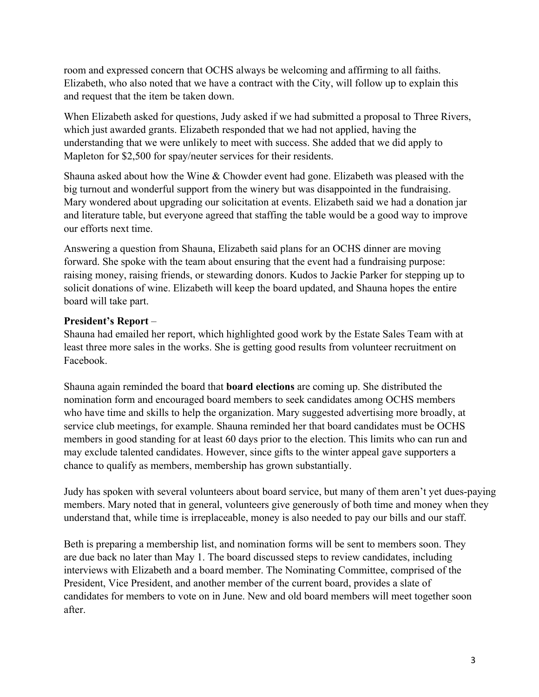room and expressed concern that OCHS always be welcoming and affirming to all faiths. Elizabeth, who also noted that we have a contract with the City, will follow up to explain this and request that the item be taken down.

When Elizabeth asked for questions, Judy asked if we had submitted a proposal to Three Rivers, which just awarded grants. Elizabeth responded that we had not applied, having the understanding that we were unlikely to meet with success. She added that we did apply to Mapleton for \$2,500 for spay/neuter services for their residents.

Shauna asked about how the Wine & Chowder event had gone. Elizabeth was pleased with the big turnout and wonderful support from the winery but was disappointed in the fundraising. Mary wondered about upgrading our solicitation at events. Elizabeth said we had a donation jar and literature table, but everyone agreed that staffing the table would be a good way to improve our efforts next time.

Answering a question from Shauna, Elizabeth said plans for an OCHS dinner are moving forward. She spoke with the team about ensuring that the event had a fundraising purpose: raising money, raising friends, or stewarding donors. Kudos to Jackie Parker for stepping up to solicit donations of wine. Elizabeth will keep the board updated, and Shauna hopes the entire board will take part.

## **President's Report** –

Shauna had emailed her report, which highlighted good work by the Estate Sales Team with at least three more sales in the works. She is getting good results from volunteer recruitment on Facebook.

Shauna again reminded the board that **board elections** are coming up. She distributed the nomination form and encouraged board members to seek candidates among OCHS members who have time and skills to help the organization. Mary suggested advertising more broadly, at service club meetings, for example. Shauna reminded her that board candidates must be OCHS members in good standing for at least 60 days prior to the election. This limits who can run and may exclude talented candidates. However, since gifts to the winter appeal gave supporters a chance to qualify as members, membership has grown substantially.

Judy has spoken with several volunteers about board service, but many of them aren't yet dues-paying members. Mary noted that in general, volunteers give generously of both time and money when they understand that, while time is irreplaceable, money is also needed to pay our bills and our staff.

Beth is preparing a membership list, and nomination forms will be sent to members soon. They are due back no later than May 1. The board discussed steps to review candidates, including interviews with Elizabeth and a board member. The Nominating Committee, comprised of the President, Vice President, and another member of the current board, provides a slate of candidates for members to vote on in June. New and old board members will meet together soon after.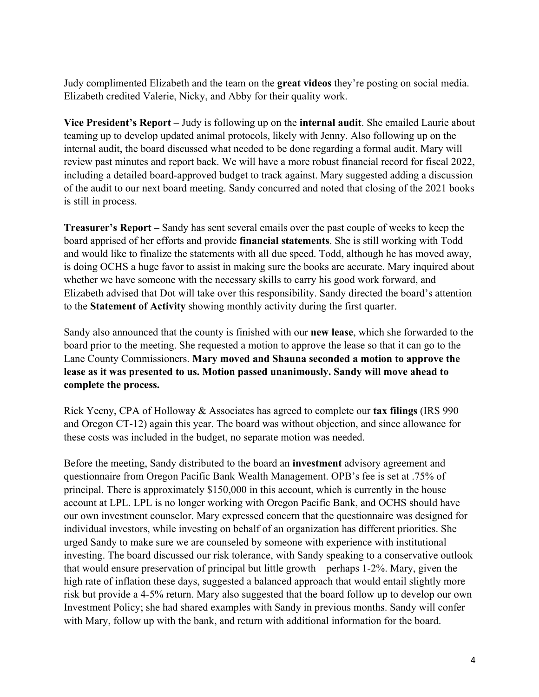Judy complimented Elizabeth and the team on the **great videos** they're posting on social media. Elizabeth credited Valerie, Nicky, and Abby for their quality work.

**Vice President's Report** – Judy is following up on the **internal audit**. She emailed Laurie about teaming up to develop updated animal protocols, likely with Jenny. Also following up on the internal audit, the board discussed what needed to be done regarding a formal audit. Mary will review past minutes and report back. We will have a more robust financial record for fiscal 2022, including a detailed board-approved budget to track against. Mary suggested adding a discussion of the audit to our next board meeting. Sandy concurred and noted that closing of the 2021 books is still in process.

**Treasurer's Report –** Sandy has sent several emails over the past couple of weeks to keep the board apprised of her efforts and provide **financial statements**. She is still working with Todd and would like to finalize the statements with all due speed. Todd, although he has moved away, is doing OCHS a huge favor to assist in making sure the books are accurate. Mary inquired about whether we have someone with the necessary skills to carry his good work forward, and Elizabeth advised that Dot will take over this responsibility. Sandy directed the board's attention to the **Statement of Activity** showing monthly activity during the first quarter.

Sandy also announced that the county is finished with our **new lease**, which she forwarded to the board prior to the meeting. She requested a motion to approve the lease so that it can go to the Lane County Commissioners. **Mary moved and Shauna seconded a motion to approve the lease as it was presented to us. Motion passed unanimously. Sandy will move ahead to complete the process.** 

Rick Yecny, CPA of Holloway & Associates has agreed to complete our **tax filings** (IRS 990 and Oregon CT-12) again this year. The board was without objection, and since allowance for these costs was included in the budget, no separate motion was needed.

Before the meeting, Sandy distributed to the board an **investment** advisory agreement and questionnaire from Oregon Pacific Bank Wealth Management. OPB's fee is set at .75% of principal. There is approximately \$150,000 in this account, which is currently in the house account at LPL. LPL is no longer working with Oregon Pacific Bank, and OCHS should have our own investment counselor. Mary expressed concern that the questionnaire was designed for individual investors, while investing on behalf of an organization has different priorities. She urged Sandy to make sure we are counseled by someone with experience with institutional investing. The board discussed our risk tolerance, with Sandy speaking to a conservative outlook that would ensure preservation of principal but little growth – perhaps 1-2%. Mary, given the high rate of inflation these days, suggested a balanced approach that would entail slightly more risk but provide a 4-5% return. Mary also suggested that the board follow up to develop our own Investment Policy; she had shared examples with Sandy in previous months. Sandy will confer with Mary, follow up with the bank, and return with additional information for the board.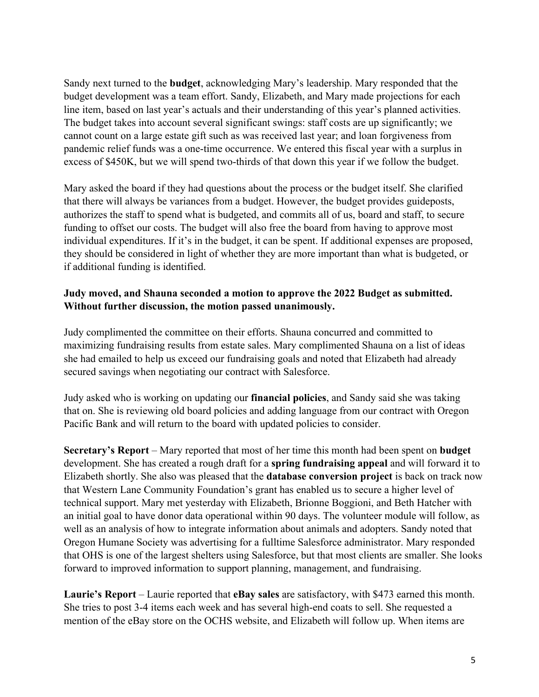Sandy next turned to the **budget**, acknowledging Mary's leadership. Mary responded that the budget development was a team effort. Sandy, Elizabeth, and Mary made projections for each line item, based on last year's actuals and their understanding of this year's planned activities. The budget takes into account several significant swings: staff costs are up significantly; we cannot count on a large estate gift such as was received last year; and loan forgiveness from pandemic relief funds was a one-time occurrence. We entered this fiscal year with a surplus in excess of \$450K, but we will spend two-thirds of that down this year if we follow the budget.

Mary asked the board if they had questions about the process or the budget itself. She clarified that there will always be variances from a budget. However, the budget provides guideposts, authorizes the staff to spend what is budgeted, and commits all of us, board and staff, to secure funding to offset our costs. The budget will also free the board from having to approve most individual expenditures. If it's in the budget, it can be spent. If additional expenses are proposed, they should be considered in light of whether they are more important than what is budgeted, or if additional funding is identified.

## **Judy moved, and Shauna seconded a motion to approve the 2022 Budget as submitted. Without further discussion, the motion passed unanimously.**

Judy complimented the committee on their efforts. Shauna concurred and committed to maximizing fundraising results from estate sales. Mary complimented Shauna on a list of ideas she had emailed to help us exceed our fundraising goals and noted that Elizabeth had already secured savings when negotiating our contract with Salesforce.

Judy asked who is working on updating our **financial policies**, and Sandy said she was taking that on. She is reviewing old board policies and adding language from our contract with Oregon Pacific Bank and will return to the board with updated policies to consider.

**Secretary's Report** – Mary reported that most of her time this month had been spent on **budget** development. She has created a rough draft for a **spring fundraising appeal** and will forward it to Elizabeth shortly. She also was pleased that the **database conversion project** is back on track now that Western Lane Community Foundation's grant has enabled us to secure a higher level of technical support. Mary met yesterday with Elizabeth, Brionne Boggioni, and Beth Hatcher with an initial goal to have donor data operational within 90 days. The volunteer module will follow, as well as an analysis of how to integrate information about animals and adopters. Sandy noted that Oregon Humane Society was advertising for a fulltime Salesforce administrator. Mary responded that OHS is one of the largest shelters using Salesforce, but that most clients are smaller. She looks forward to improved information to support planning, management, and fundraising.

**Laurie's Report** – Laurie reported that **eBay sales** are satisfactory, with \$473 earned this month. She tries to post 3-4 items each week and has several high-end coats to sell. She requested a mention of the eBay store on the OCHS website, and Elizabeth will follow up. When items are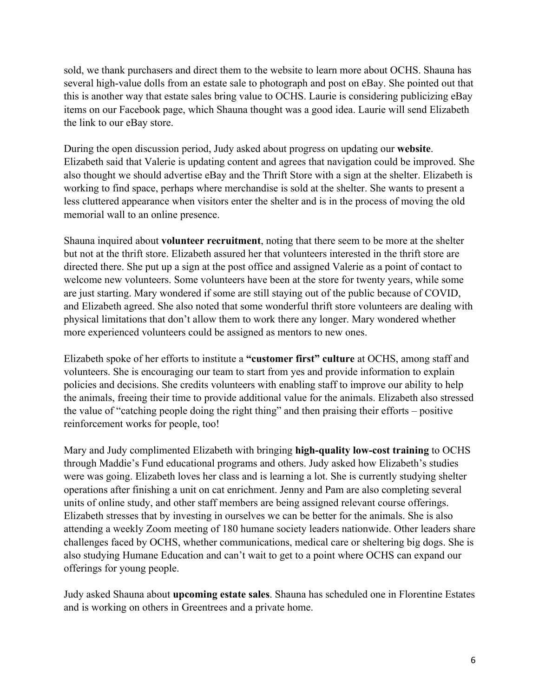sold, we thank purchasers and direct them to the website to learn more about OCHS. Shauna has several high-value dolls from an estate sale to photograph and post on eBay. She pointed out that this is another way that estate sales bring value to OCHS. Laurie is considering publicizing eBay items on our Facebook page, which Shauna thought was a good idea. Laurie will send Elizabeth the link to our eBay store.

During the open discussion period, Judy asked about progress on updating our **website**. Elizabeth said that Valerie is updating content and agrees that navigation could be improved. She also thought we should advertise eBay and the Thrift Store with a sign at the shelter. Elizabeth is working to find space, perhaps where merchandise is sold at the shelter. She wants to present a less cluttered appearance when visitors enter the shelter and is in the process of moving the old memorial wall to an online presence.

Shauna inquired about **volunteer recruitment**, noting that there seem to be more at the shelter but not at the thrift store. Elizabeth assured her that volunteers interested in the thrift store are directed there. She put up a sign at the post office and assigned Valerie as a point of contact to welcome new volunteers. Some volunteers have been at the store for twenty years, while some are just starting. Mary wondered if some are still staying out of the public because of COVID, and Elizabeth agreed. She also noted that some wonderful thrift store volunteers are dealing with physical limitations that don't allow them to work there any longer. Mary wondered whether more experienced volunteers could be assigned as mentors to new ones.

Elizabeth spoke of her efforts to institute a **"customer first" culture** at OCHS, among staff and volunteers. She is encouraging our team to start from yes and provide information to explain policies and decisions. She credits volunteers with enabling staff to improve our ability to help the animals, freeing their time to provide additional value for the animals. Elizabeth also stressed the value of "catching people doing the right thing" and then praising their efforts – positive reinforcement works for people, too!

Mary and Judy complimented Elizabeth with bringing **high-quality low-cost training** to OCHS through Maddie's Fund educational programs and others. Judy asked how Elizabeth's studies were was going. Elizabeth loves her class and is learning a lot. She is currently studying shelter operations after finishing a unit on cat enrichment. Jenny and Pam are also completing several units of online study, and other staff members are being assigned relevant course offerings. Elizabeth stresses that by investing in ourselves we can be better for the animals. She is also attending a weekly Zoom meeting of 180 humane society leaders nationwide. Other leaders share challenges faced by OCHS, whether communications, medical care or sheltering big dogs. She is also studying Humane Education and can't wait to get to a point where OCHS can expand our offerings for young people.

Judy asked Shauna about **upcoming estate sales**. Shauna has scheduled one in Florentine Estates and is working on others in Greentrees and a private home.